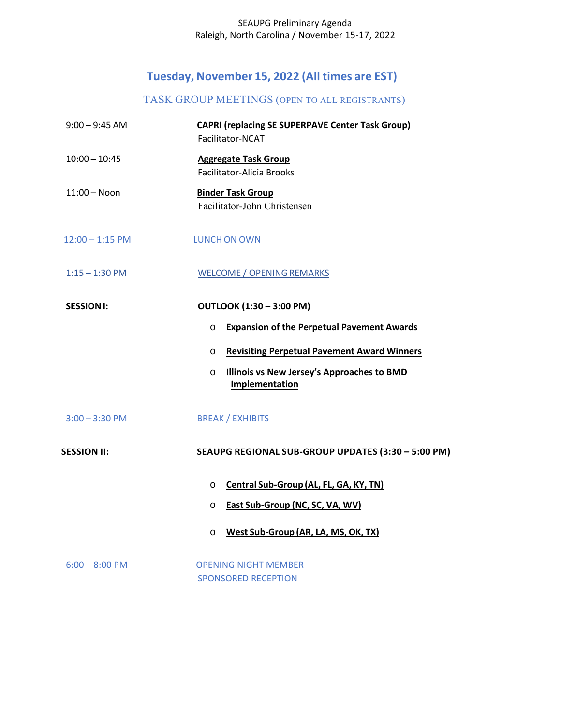### SEAUPG Preliminary Agenda Raleigh, North Carolina / November 15‐17, 2022

# **Tuesday, November 15, 2022 (All times are EST)**

## TASK GROUP MEETINGS (OPEN TO ALL REGISTRANTS)

| $9:00 - 9:45$ AM   | <b>CAPRI (replacing SE SUPERPAVE Center Task Group)</b>           |
|--------------------|-------------------------------------------------------------------|
|                    | Facilitator-NCAT                                                  |
| $10:00 - 10:45$    | <b>Aggregate Task Group</b>                                       |
|                    | <b>Facilitator-Alicia Brooks</b>                                  |
| $11:00 - N$ oon    | <b>Binder Task Group</b>                                          |
|                    | Facilitator-John Christensen                                      |
| $12:00 - 1:15$ PM  | <b>LUNCH ON OWN</b>                                               |
| $1:15 - 1:30$ PM   | <b>WELCOME / OPENING REMARKS</b>                                  |
| <b>SESSION I:</b>  | <b>OUTLOOK (1:30 - 3:00 PM)</b>                                   |
|                    | <b>Expansion of the Perpetual Pavement Awards</b><br>O            |
|                    | <b>Revisiting Perpetual Pavement Award Winners</b><br>O           |
|                    | Illinois vs New Jersey's Approaches to BMD<br>O<br>Implementation |
| $3:00 - 3:30$ PM   | <b>BREAK / EXHIBITS</b>                                           |
| <b>SESSION II:</b> | SEAUPG REGIONAL SUB-GROUP UPDATES (3:30 - 5:00 PM)                |
|                    | Central Sub-Group (AL, FL, GA, KY, TN)<br>$\circ$                 |
|                    | <b>East Sub-Group (NC, SC, VA, WV)</b><br>$\circ$                 |
|                    | West Sub-Group (AR, LA, MS, OK, TX)<br>$\circ$                    |
| $6:00 - 8:00$ PM   | <b>OPENING NIGHT MEMBER</b>                                       |
|                    | <b>SPONSORED RECEPTION</b>                                        |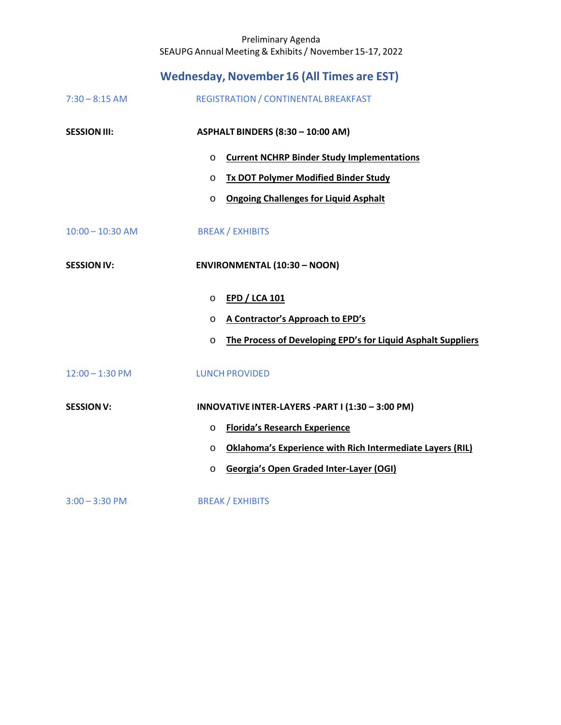## Preliminary Agenda SEAUPG Annual Meeting & Exhibits / November 15‐17, 2022

|                     | <b>Wednesday, November 16 (All Times are EST)</b>                       |
|---------------------|-------------------------------------------------------------------------|
| $7:30 - 8:15$ AM    | REGISTRATION / CONTINENTAL BREAKFAST                                    |
| <b>SESSION III:</b> | ASPHALT BINDERS (8:30 - 10:00 AM)                                       |
|                     | <b>Current NCHRP Binder Study Implementations</b><br>$\circ$            |
|                     | <b>Tx DOT Polymer Modified Binder Study</b><br>$\circ$                  |
|                     | <b>Ongoing Challenges for Liquid Asphalt</b><br>O                       |
| $10:00 - 10:30$ AM  | <b>BREAK / EXHIBITS</b>                                                 |
| <b>SESSION IV:</b>  | <b>ENVIRONMENTAL (10:30 - NOON)</b>                                     |
|                     | <b>EPD / LCA 101</b><br>$\circ$                                         |
|                     | A Contractor's Approach to EPD's<br>O                                   |
|                     | The Process of Developing EPD's for Liquid Asphalt Suppliers<br>$\circ$ |
| $12:00 - 1:30$ PM   | <b>LUNCH PROVIDED</b>                                                   |
| <b>SESSION V:</b>   | INNOVATIVE INTER-LAYERS - PART I (1:30 - 3:00 PM)                       |
|                     | <b>Florida's Research Experience</b><br>$\circ$                         |
|                     | Oklahoma's Experience with Rich Intermediate Layers (RIL)<br>$\circ$    |
|                     | <b>Georgia's Open Graded Inter-Layer (OGI)</b><br>$\circ$               |
| $3:00 - 3:30$ PM    | <b>BREAK / EXHIBITS</b>                                                 |